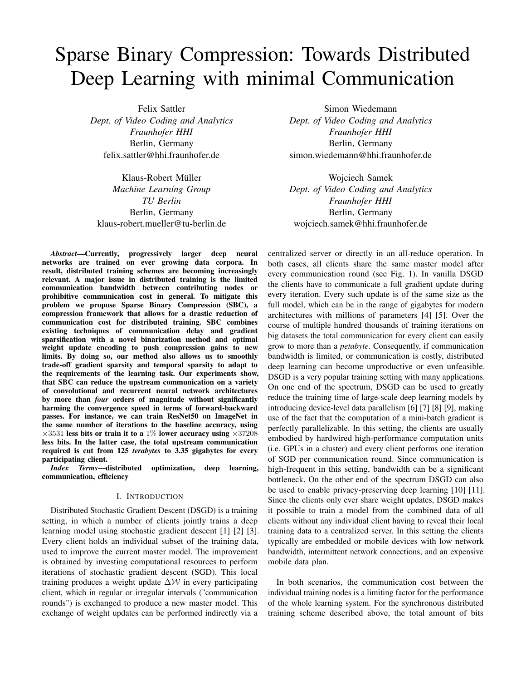# Sparse Binary Compression: Towards Distributed Deep Learning with minimal Communication

Klaus-Robert Müller Wojciech Samek

*Abstract*—Currently, progressively larger deep neural networks are trained on ever growing data corpora. In result, distributed training schemes are becoming increasingly relevant. A major issue in distributed training is the limited communication bandwidth between contributing nodes or prohibitive communication cost in general. To mitigate this problem we propose Sparse Binary Compression (SBC), a compression framework that allows for a drastic reduction of communication cost for distributed training. SBC combines existing techniques of communication delay and gradient sparsification with a novel binarization method and optimal weight update encoding to push compression gains to new limits. By doing so, our method also allows us to smoothly trade-off gradient sparsity and temporal sparsity to adapt to the requirements of the learning task. Our experiments show, that SBC can reduce the upstream communication on a variety of convolutional and recurrent neural network architectures by more than *four* orders of magnitude without significantly harming the convergence speed in terms of forward-backward passes. For instance, we can train ResNet50 on ImageNet in the same number of iterations to the baseline accuracy, using  $\times$ 3531 less bits or train it to a 1% lower accuracy using  $\times$ 37208 less bits. In the latter case, the total upstream communication required is cut from 125 *terabytes* to 3.35 gigabytes for every participating client.

*Index Terms*—distributed optimization, deep learning, communication, efficiency

## I. INTRODUCTION

Distributed Stochastic Gradient Descent (DSGD) is a training setting, in which a number of clients jointly trains a deep learning model using stochastic gradient descent [1] [2] [3]. Every client holds an individual subset of the training data, used to improve the current master model. The improvement is obtained by investing computational resources to perform iterations of stochastic gradient descent (SGD). This local training produces a weight update  $\Delta W$  in every participating client, which in regular or irregular intervals ("communication rounds") is exchanged to produce a new master model. This exchange of weight updates can be performed indirectly via a

Felix Sattler Simon Wiedemann *Dept. of Video Coding and Analytics Dept. of Video Coding and Analytics Fraunhofer HHI Fraunhofer HHI* Berlin, Germany Berlin, Germany felix.sattler@hhi.fraunhofer.de simon.wiedemann@hhi.fraunhofer.de

*Machine Learning Group Dept. of Video Coding and Analytics TU Berlin Fraunhofer HHI* Berlin, Germany Berlin, Germany klaus-robert.mueller@tu-berlin.de wojciech.samek@hhi.fraunhofer.de

> centralized server or directly in an all-reduce operation. In both cases, all clients share the same master model after every communication round (see Fig. 1). In vanilla DSGD the clients have to communicate a full gradient update during every iteration. Every such update is of the same size as the full model, which can be in the range of gigabytes for modern architectures with millions of parameters [4] [5]. Over the course of multiple hundred thousands of training iterations on big datasets the total communication for every client can easily grow to more than a *petabyte*. Consequently, if communication bandwidth is limited, or communication is costly, distributed deep learning can become unproductive or even unfeasible. DSGD is a very popular training setting with many applications. On one end of the spectrum, DSGD can be used to greatly reduce the training time of large-scale deep learning models by introducing device-level data parallelism [6] [7] [8] [9], making use of the fact that the computation of a mini-batch gradient is perfectly parallelizable. In this setting, the clients are usually embodied by hardwired high-performance computation units (i.e. GPUs in a cluster) and every client performs one iteration of SGD per communication round. Since communication is high-frequent in this setting, bandwidth can be a significant bottleneck. On the other end of the spectrum DSGD can also be used to enable privacy-preserving deep learning [10] [11]. Since the clients only ever share weight updates, DSGD makes it possible to train a model from the combined data of all clients without any individual client having to reveal their local training data to a centralized server. In this setting the clients typically are embedded or mobile devices with low network bandwidth, intermittent network connections, and an expensive mobile data plan.

> In both scenarios, the communication cost between the individual training nodes is a limiting factor for the performance of the whole learning system. For the synchronous distributed training scheme described above, the total amount of bits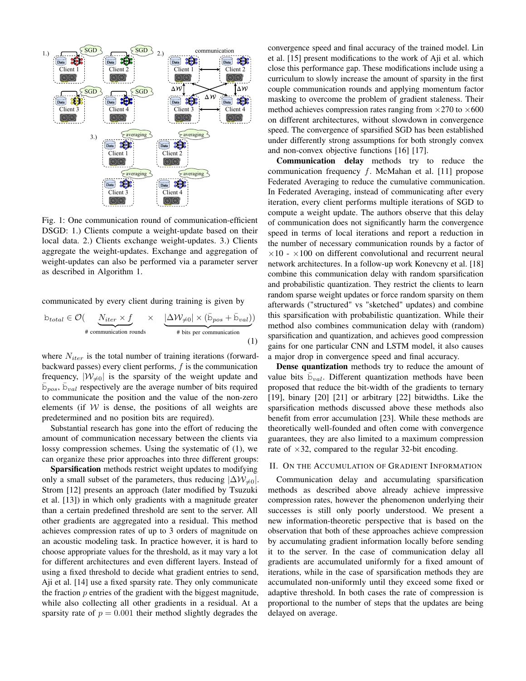

Fig. 1: One communication round of communication-efficient DSGD: 1.) Clients compute a weight-update based on their local data. 2.) Clients exchange weight-updates. 3.) Clients aggregate the weight-updates. Exchange and aggregation of weight-updates can also be performed via a parameter server as described in Algorithm 1.

communicated by every client during training is given by

$$
b_{total} \in \mathcal{O}\left(\underbrace{N_{iter} \times f}_{\text{\# communication rounds}} \times \underbrace{|\Delta \mathcal{W}_{\neq 0}| \times (\bar{\mathbf{b}}_{pos} + \bar{\mathbf{b}}_{val}))}_{\text{\# bits per communication}}
$$
\n(1)

where  $N_{iter}$  is the total number of training iterations (forwardbackward passes) every client performs,  $f$  is the communication frequency,  $|W_{\neq 0}|$  is the sparsity of the weight update and  $\bar{b}_{pos}, \bar{b}_{val}$  respectively are the average number of bits required to communicate the position and the value of the non-zero elements (if  $W$  is dense, the positions of all weights are predetermined and no position bits are required).

Substantial research has gone into the effort of reducing the amount of communication necessary between the clients via lossy compression schemes. Using the systematic of (1), we can organize these prior approaches into three different groups:

Sparsification methods restrict weight updates to modifying only a small subset of the parameters, thus reducing  $|\Delta W_{\neq 0}|$ . Strom [12] presents an approach (later modified by Tsuzuki et al. [13]) in which only gradients with a magnitude greater than a certain predefined threshold are sent to the server. All other gradients are aggregated into a residual. This method achieves compression rates of up to 3 orders of magnitude on an acoustic modeling task. In practice however, it is hard to choose appropriate values for the threshold, as it may vary a lot for different architectures and even different layers. Instead of using a fixed threshold to decide what gradient entries to send, Aji et al. [14] use a fixed sparsity rate. They only communicate the fraction  $p$  entries of the gradient with the biggest magnitude, while also collecting all other gradients in a residual. At a sparsity rate of  $p = 0.001$  their method slightly degrades the

 $\Delta W$   $\Delta W$   $\Delta W$  couple communication rounds and applying momentum factor convergence speed and final accuracy of the trained model. Lin et al. [15] present modifications to the work of Aji et al. which close this performance gap. These modifications include using a curriculum to slowly increase the amount of sparsity in the first masking to overcome the problem of gradient staleness. Their method achieves compression rates ranging from  $\times$ 270 to  $\times$ 600 on different architectures, without slowdown in convergence speed. The convergence of sparsified SGD has been established under differently strong assumptions for both strongly convex and non-convex objective functions [16] [17].

> Communication delay methods try to reduce the communication frequency f. McMahan et al. [11] propose Federated Averaging to reduce the cumulative communication. In Federated Averaging, instead of communicating after every iteration, every client performs multiple iterations of SGD to compute a weight update. The authors observe that this delay of communication does not significantly harm the convergence speed in terms of local iterations and report a reduction in the number of necessary communication rounds by a factor of  $\times10$  -  $\times100$  on different convolutional and recurrent neural network architectures. In a follow-up work Konevcny et al. [18] combine this communication delay with random sparsification and probabilistic quantization. They restrict the clients to learn random sparse weight updates or force random sparsity on them afterwards ("structured" vs "sketched" updates) and combine this sparsification with probabilistic quantization. While their method also combines communication delay with (random) sparsification and quantization, and achieves good compression gains for one particular CNN and LSTM model, it also causes a major drop in convergence speed and final accuracy.

> Dense quantization methods try to reduce the amount of value bits  $\bar{b}_{val}$ . Different quantization methods have been proposed that reduce the bit-width of the gradients to ternary [19], binary [20] [21] or arbitrary [22] bitwidths. Like the sparsification methods discussed above these methods also benefit from error accumulation [23]. While these methods are theoretically well-founded and often come with convergence guarantees, they are also limited to a maximum compression rate of  $\times$ 32, compared to the regular 32-bit encoding.

## II. ON THE ACCUMULATION OF GRADIENT INFORMATION

Communication delay and accumulating sparsification methods as described above already achieve impressive compression rates, however the phenomenon underlying their successes is still only poorly understood. We present a new information-theoretic perspective that is based on the observation that both of these approaches achieve compression by accumulating gradient information locally before sending it to the server. In the case of communication delay all gradients are accumulated uniformly for a fixed amount of iterations, while in the case of sparsification methods they are accumulated non-uniformly until they exceed some fixed or adaptive threshold. In both cases the rate of compression is proportional to the number of steps that the updates are being delayed on average.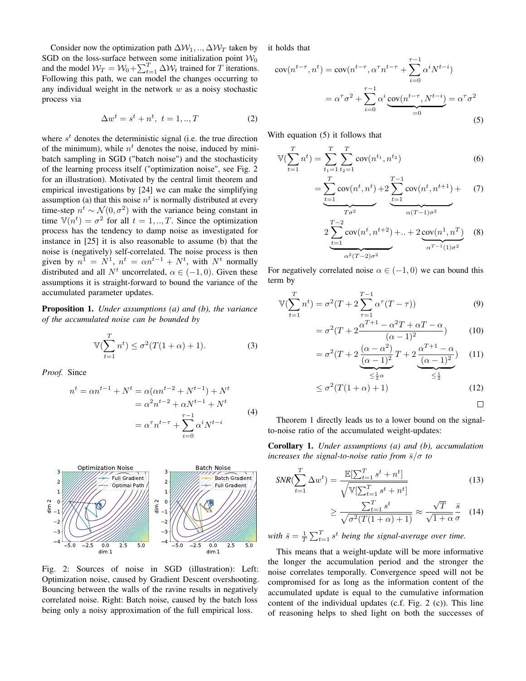Consider now the optimization path  $\Delta W_1, \dots, \Delta W_T$  taken by SGD on the loss-surface between some initialization point  $W_0$ and the model  $W_T = W_0 + \sum_{t=1}^T \Delta W_t$  trained for T iterations. Following this path, we can model the changes occurring to any individual weight in the network  $w$  as a noisy stochastic process via

$$
\Delta w^t = s^t + n^t, \ t = 1, \ldots, T \tag{2}
$$

where  $s<sup>t</sup>$  denotes the deterministic signal (i.e. the true direction of the minimum), while  $n<sup>t</sup>$  denotes the noise, induced by minibatch sampling in SGD ("batch noise") and the stochasticity of the learning process itself ("optimization noise", see Fig. 2 for an illustration). Motivated by the central limit theorem and empirical investigations by [24] we can make the simplifying assumption (a) that this noise  $n<sup>t</sup>$  is normally distributed at every time-step  $n^t \sim \mathcal{N}(0, \sigma^2)$  with the variance being constant in time  $\mathbb{V}(n^t) = \sigma^2$  for all  $t = 1, ..., T$ . Since the optimization process has the tendency to damp noise as investigated for instance in [25] it is also reasonable to assume (b) that the noise is (negatively) self-correlated. The noise process is then given by  $n^1 = N^1$ ,  $n^t = \alpha n^{t-1} + N^t$ , with  $N^t$  normally distributed and all  $N^t$  uncorrelated,  $\alpha \in (-1,0)$ . Given these assumptions it is straight-forward to bound the variance of the accumulated parameter updates.

Proposition 1. *Under assumptions (a) and (b), the variance of the accumulated noise can be bounded by*

$$
\mathbb{V}(\sum_{t=1}^{T} n^t) \le \sigma^2 (T(1+\alpha) + 1). \tag{3}
$$

*Proof.* Since

$$
n^{t} = \alpha n^{t-1} + N^{t} = \alpha(\alpha n^{t-2} + N^{t-1}) + N^{t}
$$
  
=  $\alpha^{2} n^{t-2} + \alpha N^{t-1} + N^{t}$   
=  $\alpha^{\tau} n^{t-\tau} + \sum_{i=0}^{\tau-1} \alpha^{i} N^{t-i}$  (4)



Fig. 2: Sources of noise in SGD (illustration): Left: Optimization noise, caused by Gradient Descent overshooting. Bouncing between the walls of the ravine results in negatively correlated noise. Right: Batch noise, caused by the batch loss being only a noisy approximation of the full empirical loss.

it holds that

$$
cov(n^{t-\tau}, n^t) = cov(n^{t-\tau}, \alpha^{\tau} n^{t-\tau} + \sum_{i=0}^{\tau-1} \alpha^i N^{t-i})
$$

$$
= \alpha^{\tau} \sigma^2 + \sum_{i=0}^{\tau-1} \alpha^i \underbrace{cov(n^{t-\tau}, N^{t-i})}_{=0} = \alpha^{\tau} \sigma^2
$$
(5)

With equation (5) it follows that

$$
\mathbb{V}(\sum_{t=1}^{T} n^{t}) = \sum_{t_{1}=1}^{T} \sum_{t_{2}=1}^{T} \text{cov}(n^{t_{1}}, n^{t_{2}})
$$
(6)

$$
= \underbrace{\sum_{t=1}^{T} \text{cov}(n^{t}, n^{t})}_{T\sigma^{2}} + 2 \underbrace{\sum_{t=1}^{T-1} \text{cov}(n^{t}, n^{t+1})}_{\alpha(T-1)\sigma^{2}} + \underbrace{(7)}_{\alpha(T-1)\sigma^{2}}
$$
\n
$$
2 \underbrace{\sum_{t=1}^{T-2} \text{cov}(n^{t}, n^{t+2})}_{\alpha^{2}(T-2)\sigma^{2}} + \dots + 2 \underbrace{\text{cov}(n^{1}, n^{T})}_{\alpha^{T-1}(1)\sigma^{2}} \quad (8)
$$

For negatively correlated noise  $\alpha \in (-1,0)$  we can bound this term by

$$
\mathbb{V}(\sum_{t=1}^{T} n^{t}) = \sigma^{2}(T + 2\sum_{\tau=1}^{T-1} \alpha^{\tau}(T - \tau))
$$
\n(9)

$$
= \sigma^2 (T + 2 \frac{\alpha^{T+1} - \alpha^2 T + \alpha T - \alpha}{(\alpha - 1)^2})
$$
 (10)

$$
= \sigma^{2}(T+2\frac{(\alpha-\alpha^{2})}{(\alpha-1)^{2}}T+2\frac{\alpha^{T+1}-\alpha}{(\alpha-1)^{2}})
$$
 (11)

$$
\leq \frac{1}{2}\alpha \qquad \leq \frac{1}{2}
$$
  

$$
\leq \sigma^2 (T(1+\alpha)+1)
$$
 (12)

$$
f\left(1\left(1+\alpha\right)+1\right)\tag{12}
$$

$$
\mathbb{L}^2
$$

Theorem 1 directly leads us to a lower bound on the signalto-noise ratio of the accumulated weight-updates:

Corollary 1. *Under assumptions (a) and (b), accumulation increases the signal-to-noise ratio from*  $\bar{s}/\sigma$  *to* 

$$
SNR(\sum_{t=1}^{T} \Delta w^{t}) = \frac{\mathbb{E}[\sum_{t=1}^{T} s^{t} + n^{t}]}{\sqrt{\mathbb{V}[\sum_{t=1}^{T} s^{t} + n^{t}]}}
$$
(13)

$$
\geq \frac{\sum_{t=1}^{T} s^t}{\sqrt{\sigma^2 (T(1+\alpha)+1)}} \approx \frac{\sqrt{T}}{\sqrt{1+\alpha}} \frac{\bar{s}}{\sigma} \quad (14)
$$

with  $\bar{s} = \frac{1}{T} \sum_{t=1}^{T} s^t$  being the signal-average over time.

This means that a weight-update will be more informative the longer the accumulation period and the stronger the noise correlates temporally. Convergence speed will not be compromised for as long as the information content of the accumulated update is equal to the cumulative information content of the individual updates (c.f. Fig. 2 (c)). This line of reasoning helps to shed light on both the successes of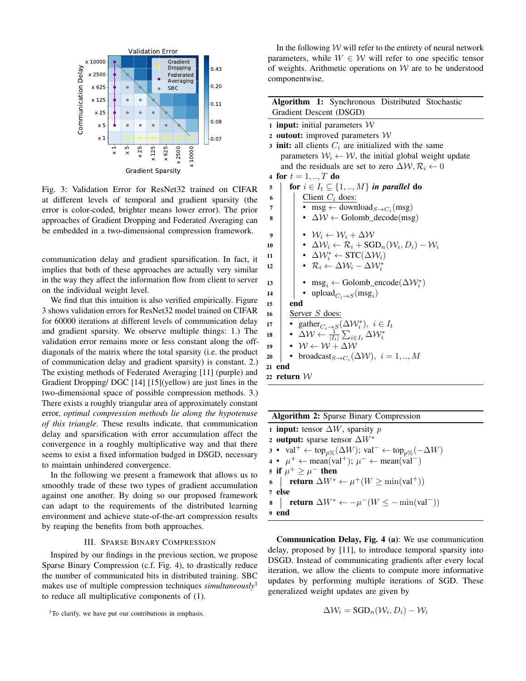

Fig. 3: Validation Error for ResNet32 trained on CIFAR at different levels of temporal and gradient sparsity (the error is color-coded, brighter means lower error). The prior approaches of Gradient Dropping and Federated Averaging can be embedded in a two-dimensional compression framework.

communication delay and gradient sparsification. In fact, it implies that both of these approaches are actually very similar in the way they affect the information flow from client to server on the individual weight level.

We find that this intuition is also verified empirically. Figure 3 shows validation errors for ResNet32 model trained on CIFAR for 60000 iterations at different levels of communication delay and gradient sparsity. We observe multiple things: 1.) The validation error remains more or less constant along the offdiagonals of the matrix where the total sparsity (i.e. the product of communication delay and gradient sparsity) is constant. 2.) The existing methods of Federated Averaging [11] (purple) and Gradient Dropping/ DGC [14] [15](yellow) are just lines in the two-dimensional space of possible compression methods. 3.) There exists a roughly triangular area of approximately constant error, *optimal compression methods lie along the hypotenuse of this triangle*. These results indicate, that communication delay and sparsification with error accumulation affect the convergence in a roughly multiplicative way and that there seems to exist a fixed information budged in DSGD, necessary to maintain unhindered convergence.

In the following we present a framework that allows us to smoothly trade of these two types of gradient accumulation against one another. By doing so our proposed framework can adapt to the requirements of the distributed learning environment and achieve state-of-the-art compression results by reaping the benefits from both approaches.

### III. SPARSE BINARY COMPRESSION

Inspired by our findings in the previous section, we propose Sparse Binary Compression (c.f. Fig. 4), to drastically reduce the number of communicated bits in distributed training. SBC makes use of multiple compression techniques *simultaneously*<sup>1</sup> to reduce all multiplicative components of (1).

In the following  $W$  will refer to the entirety of neural network parameters, while  $W \in \mathcal{W}$  will refer to one specific tensor of weights. Arithmetic operations on  $W$  are to be understood componentwise.

|                         | <b>Algorithm 1:</b> Synchronous Distributed Stochastic |  |
|-------------------------|--------------------------------------------------------|--|
| Gradient Descent (DSGD) |                                                        |  |

- 1 **input:** initial parameters  $W$
- 2 outout: improved parameters  $W$
- 3 init: all clients  $C_i$  are initialized with the same parameters  $W_i \leftarrow W$ , the initial global weight update and the residuals are set to zero  $\Delta W$ ,  $\mathcal{R}_i \leftarrow 0$

```
4 for t = 1, ..., T do
```

```
5 for i \in I_t \subseteq \{1, ..., M\} in parallel do 6 <br>6 Client C_i does:
                      Client C_i does:
  \sigma \vert \bullet msg \leftarrow download<sub>S \rightarrow C<sub>i</sub></sub> (msg)
 \mathbf{s} | • \Delta W \leftarrow Golomb_decode(msg)
\begin{array}{|c|c|c|}\n\hline\n\text{9} & \multicolumn{1}{|c|}{\bullet} & \mathcal{W}_i \leftarrow \mathcal{W}_i + \Delta \mathcal{W} \\
\hline\n\text{10} & \multicolumn{1}{|c|}{\bullet} & \Delta \mathcal{W}_i \leftarrow \mathcal{R}_i + \text{SG}\n\end{array}10 \Big| • \Delta \mathcal{W}_i \leftarrow \mathcal{R}_i + \text{SGD}_n(\mathcal{W}_i, D_i) - \mathcal{W}_i11 \mathbf{P} \cdot \Delta \mathcal{W}_i^* \leftarrow \text{STC}(\Delta \mathcal{W}_i)12 \Big|\Big| • \mathcal{R}_i \leftarrow \Delta \mathcal{W}_i - \Delta \mathcal{W}_i^*13 | • \text{msg}_i \leftarrow \text{Golomb\_encode}(\Delta \mathcal{W}_i^*)14 | | • upload_{C_i \rightarrow S}(msg<sub>i</sub>)
15 end
16 | Server S does:
17 • gatherC_i \rightarrow S(\Delta W_i^*), i \in I_t18 | • \Delta W \leftarrow \frac{1}{|I_t|} \sum_{i \in I_t} \Delta W_i^*19 • W \leftarrow W + \Delta W<br>20 • broadcast S \rightarrow C_s20 • broadcast<sub>S→C<sub>i</sub></sub>(\Delta W), i = 1, ..., M21 end
22 return W
```

| <b>Algorithm 2:</b> Sparse Binary Compression                                                                                  |  |  |  |  |  |  |
|--------------------------------------------------------------------------------------------------------------------------------|--|--|--|--|--|--|
| 1 <b>input:</b> tensor $\Delta W$ , sparsity p                                                                                 |  |  |  |  |  |  |
| 2 output: sparse tensor $\Delta W^*$                                                                                           |  |  |  |  |  |  |
| $\mathbf{3} \bullet \text{ val}^+ \leftarrow \text{top}_{p\%}(\Delta W); \text{ val}^- \leftarrow \text{top}_{p\%}(-\Delta W)$ |  |  |  |  |  |  |
| $\mathbf{4} \bullet \mu^+ \leftarrow \text{mean}(\text{val}^+); \mu^- \leftarrow \text{mean}(\text{val}^-)$                    |  |  |  |  |  |  |
| 5 if $\mu^+ \geq \mu^-$ then                                                                                                   |  |  |  |  |  |  |
| 6   <b>return</b> $\Delta W^* \leftarrow \mu^+(W \ge \min(\text{val}^+))$                                                      |  |  |  |  |  |  |
| 7 else                                                                                                                         |  |  |  |  |  |  |
| 8   return $\Delta W^* \leftarrow -\mu^{-}(W \leq -\min(\text{val}^{-}))$                                                      |  |  |  |  |  |  |
| 9 end                                                                                                                          |  |  |  |  |  |  |

Communication Delay, Fig. 4 (a): We use communication delay, proposed by [11], to introduce temporal sparsity into DSGD. Instead of communicating gradients after every local iteration, we allow the clients to compute more informative updates by performing multiple iterations of SGD. These generalized weight updates are given by

$$
\Delta W_i = \text{SGD}_n(W_i, D_i) - W_i
$$

<sup>&</sup>lt;sup>1</sup>To clarify, we have put our contributions in emphasis.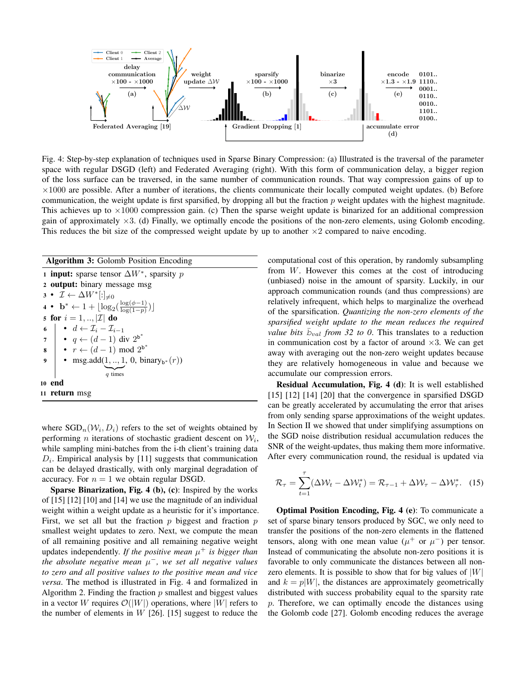

Fig. 4: Step-by-step explanation of techniques used in Sparse Binary Compression: (a) Illustrated is the traversal of the parameter space with regular DSGD (left) and Federated Averaging (right). With this form of communication delay, a bigger region of the loss surface can be traversed, in the same number of communication rounds. That way compression gains of up to  $\times1000$  are possible. After a number of iterations, the clients communicate their locally computed weight updates. (b) Before communication, the weight update is first sparsified, by dropping all but the fraction  $p$  weight updates with the highest magnitude. This achieves up to  $\times1000$  compression gain. (c) Then the sparse weight update is binarized for an additional compression gain of approximately  $\times 3$ . (d) Finally, we optimally encode the positions of the non-zero elements, using Golomb encoding. This reduces the bit size of the compressed weight update by up to another  $\times 2$  compared to naive encoding.

| <b>Algorithm 3:</b> Golomb Position Encoding                                                                                                                          |  |  |  |  |  |  |
|-----------------------------------------------------------------------------------------------------------------------------------------------------------------------|--|--|--|--|--|--|
| 1 <b>input:</b> sparse tensor $\Delta W^*$ , sparsity p                                                                                                               |  |  |  |  |  |  |
| 2 <b>output:</b> binary message msg                                                                                                                                   |  |  |  |  |  |  |
| $3 \bullet \mathcal{I} \leftarrow \Delta W^*[:]_{\neq 0}$                                                                                                             |  |  |  |  |  |  |
| 4 • $\mathbf{b}^* \leftarrow 1 + \lfloor \log_2(\frac{\log(\phi-1)}{\log(1-n)}) \rfloor$                                                                              |  |  |  |  |  |  |
| 5 for $i = 1, ,  \mathcal{I} $ do                                                                                                                                     |  |  |  |  |  |  |
|                                                                                                                                                                       |  |  |  |  |  |  |
| 6<br>$\begin{array}{ c c c }\n\hline\n\bullet & d \leftarrow & \mathcal{I}_i - \mathcal{I}_{i-1} \\ \bullet & q \leftarrow & (d-1) \text{ div } 2^{b^*}\n\end{array}$ |  |  |  |  |  |  |
|                                                                                                                                                                       |  |  |  |  |  |  |
| 8<br>• $r \leftarrow (d-1) \mod 2^{b^*}$<br>• msg.add $(1, , 1, 0, \text{ binary}_{b^*}(r))$                                                                          |  |  |  |  |  |  |
| q times                                                                                                                                                               |  |  |  |  |  |  |
| 10 end                                                                                                                                                                |  |  |  |  |  |  |
| 11 <b>return</b> msg                                                                                                                                                  |  |  |  |  |  |  |

where  $\text{SGD}_n(\mathcal{W}_i, D_i)$  refers to the set of weights obtained by performing *n* iterations of stochastic gradient descent on  $W_i$ , while sampling mini-batches from the i-th client's training data  $D_i$ . Empirical analysis by [11] suggests that communication can be delayed drastically, with only marginal degradation of accuracy. For  $n = 1$  we obtain regular DSGD.

Sparse Binarization, Fig. 4 (b), (c): Inspired by the works of [15] [12] [10] and [14] we use the magnitude of an individual weight within a weight update as a heuristic for it's importance. First, we set all but the fraction  $p$  biggest and fraction  $p$ smallest weight updates to zero. Next, we compute the mean of all remaining positive and all remaining negative weight updates independently. If the positive mean  $\mu^+$  is bigger than *the absolute negative mean* µ <sup>−</sup>*, we set all negative values to zero and all positive values to the positive mean and vice versa*. The method is illustrated in Fig. 4 and formalized in Algorithm 2. Finding the fraction  $p$  smallest and biggest values in a vector W requires  $\mathcal{O}(|W|)$  operations, where |W| refers to the number of elements in  $W$  [26]. [15] suggest to reduce the

computational cost of this operation, by randomly subsampling from W. However this comes at the cost of introducing (unbiased) noise in the amount of sparsity. Luckily, in our approach communication rounds (and thus compressions) are relatively infrequent, which helps to marginalize the overhead of the sparsification. *Quantizing the non-zero elements of the sparsified weight update to the mean reduces the required value bits*  $\bar{b}_{val}$  *from 32 to 0.* This translates to a reduction in communication cost by a factor of around  $\times 3$ . We can get away with averaging out the non-zero weight updates because they are relatively homogeneous in value and because we accumulate our compression errors.

Residual Accumulation, Fig. 4 (d): It is well established [15] [12] [14] [20] that the convergence in sparsified DSGD can be greatly accelerated by accumulating the error that arises from only sending sparse approximations of the weight updates. In Section II we showed that under simplifying assumptions on the SGD noise distribution residual accumulation reduces the SNR of the weight-updates, thus making them more informative. After every communication round, the residual is updated via

$$
\mathcal{R}_{\tau} = \sum_{t=1}^{\tau} (\Delta \mathcal{W}_t - \Delta \mathcal{W}_t^*) = \mathcal{R}_{\tau-1} + \Delta \mathcal{W}_{\tau} - \Delta \mathcal{W}_{\tau}^*.
$$
 (15)

Optimal Position Encoding, Fig. 4 (e): To communicate a set of sparse binary tensors produced by SGC, we only need to transfer the positions of the non-zero elements in the flattened tensors, along with one mean value  $(\mu^+$  or  $\mu^-)$  per tensor. Instead of communicating the absolute non-zero positions it is favorable to only communicate the distances between all nonzero elements. It is possible to show that for big values of  $|W|$ and  $k = p|W|$ , the distances are approximately geometrically distributed with success probability equal to the sparsity rate p. Therefore, we can optimally encode the distances using the Golomb code [27]. Golomb encoding reduces the average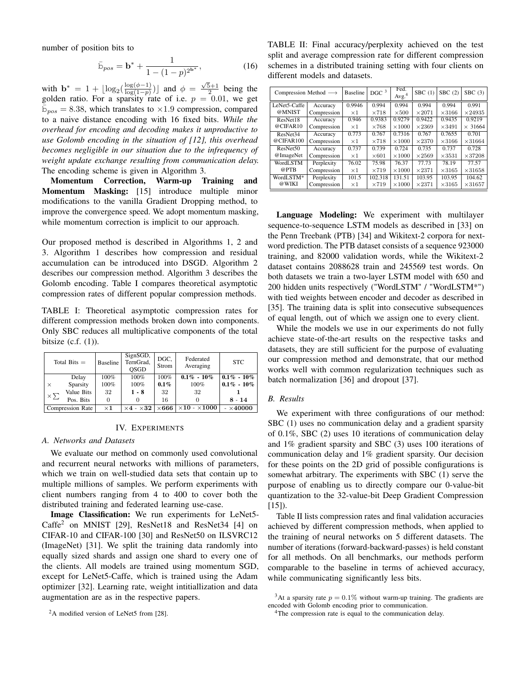number of position bits to

$$
\bar{\mathbf{b}}_{pos} = \mathbf{b}^* + \frac{1}{1 - (1 - p)^{2^{b^*}}},\tag{16}
$$

with  $\mathbf{b}^* = 1 + \lfloor \log_2(\frac{\log(\phi - 1)}{\log(1 - p)} \rfloor$  $\frac{\log(\phi-1)}{\log(1-p)})$  and  $\phi = \frac{\sqrt{5}+1}{2}$  being the golden ratio. For a sparsity rate of i.e.  $p = 0.01$ , we get  $\bar{b}_{pos} = 8.38$ , which translates to ×1.9 compression, compared to a naive distance encoding with 16 fixed bits. *While the overhead for encoding and decoding makes it unproductive to use Golomb encoding in the situation of [12], this overhead becomes negligible in our situation due to the infrequency of weight update exchange resulting from communication delay.* The encoding scheme is given in Algorithm 3.

Momentum Correction, Warm-up Training and Momentum Masking: [15] introduce multiple minor modifications to the vanilla Gradient Dropping method, to improve the convergence speed. We adopt momentum masking, while momentum correction is implicit to our approach.

Our proposed method is described in Algorithms 1, 2 and 3. Algorithm 1 describes how compression and residual accumulation can be introduced into DSGD. Algorithm 2 describes our compression method. Algorithm 3 describes the Golomb encoding. Table I compares theoretical asymptotic compression rates of different popular compression methods.

TABLE I: Theoretical asymptotic compression rates for different compression methods broken down into components. Only SBC reduces all multiplicative components of the total bitsize  $(c.f. (1))$ .

| Total Bits $=$ |                         | <b>Baseline</b> | SignSGD,<br>TernGrad,<br><b>OSGD</b> | DGC.<br>Strom | Federated<br>Averaging    | <b>STC</b>       |
|----------------|-------------------------|-----------------|--------------------------------------|---------------|---------------------------|------------------|
|                | Delay                   | 100%            | 100%                                 | 100%          | $0.1\% - 10\%$            | $0.1\% - 10\%$   |
| $\times$       | Sparsity                | 100%            | 100%                                 | $0.1\%$       | 100%                      | $0.1\% - 10\%$   |
| $\times \sum$  | Value Bits              | 32              | $1 - 8$                              | 32            | 32                        |                  |
|                | Pos. Bits               |                 |                                      | 16            |                           | $8 - 14$         |
|                | <b>Compression Rate</b> | $\times 1$      | $\times 4$ - $\times 32$             | $\times 666$  | $\times10$ - $\times1000$ | $- \times 40000$ |

### IV. EXPERIMENTS

## *A. Networks and Datasets*

We evaluate our method on commonly used convolutional and recurrent neural networks with millions of parameters, which we train on well-studied data sets that contain up to multiple millions of samples. We perform experiments with client numbers ranging from 4 to 400 to cover both the distributed training and federated learning use-case.

Image Classification: We run experiments for LeNet5- Caffe<sup>2</sup> on MNIST [29], ResNet18 and ResNet34 [4] on CIFAR-10 and CIFAR-100 [30] and ResNet50 on ILSVRC12 (ImageNet) [31]. We split the training data randomly into equally sized shards and assign one shard to every one of the clients. All models are trained using momentum SGD, except for LeNet5-Caffe, which is trained using the Adam optimizer [32]. Learning rate, weight intitiallization and data augmentation are as in the respective papers.

TABLE II: Final accuracy/perplexity achieved on the test split and average compression rate for different compression schemes in a distributed training setting with four clients on different models and datasets.

| Compression Method $\longrightarrow$ |             | <b>Baseline</b> | DGC <sup>3</sup> | Fed.<br>Avg. <sup>4</sup> | SBC(1)        | SBC(2)        | SBC(3)         |
|--------------------------------------|-------------|-----------------|------------------|---------------------------|---------------|---------------|----------------|
| LeNet5-Caffe<br>Accuracy             |             | 0.9946          | 0.994            | 0.994                     | 0.994         | 0.994         | 0.991          |
| @MNIST                               | Compression | $\times 1$      | $\times 718$     | $\times 500$              | $\times 2071$ | $\times 3166$ | $\times 24935$ |
| ResNet18                             | Accuracy    | 0.946           | 0.9383           | 0.9279                    | 0.9422        | 0.9435        | 0.9219         |
| @CIFAR10                             | Compression | $\times 1$      | $\times 768$     | $\times$ 1000             | $\times 2369$ | $\times 3491$ | $\times$ 31664 |
| ResNet <sub>34</sub><br>@CIFAR100    | Accuracy    | 0.773           | 0.767            | 0.7316                    | 0.767         | 0.7655        | 0.701          |
|                                      | Compression | $\times$ 1      | $\times 718$     | $\times 1000$             | $\times 2370$ | $\times 3166$ | $\times 31664$ |
| ResNet <sub>50</sub>                 | Accuracy    | 0.737           | 0.739            | 0.724                     | 0.735         | 0.737         | 0.728          |
| @ImageNet                            | Compression | $\times 1$      | $\times 601$     | $\times 1000$             | $\times 2569$ | $\times 3531$ | $\times 37208$ |
| WordLSTM<br>@PTB                     | Perplexity  | 76.02           | 75.98            | 76.37                     | 77.73         | 78.19         | 77.57          |
|                                      | Compression | $\times 1$      | $\times 719$     | $\times 1000$             | $\times 2371$ | $\times 3165$ | $\times 31658$ |
| WordLSTM*<br>@WIKI                   | Perplexity  | 101.5           | 102.318          | 131.51                    | 103.95        | 103.95        | 104.62         |
|                                      | Compression | $\times 1$      | $\times 719$     | $\times 1000$             | $\times 2371$ | $\times 3165$ | $\times 31657$ |

Language Modeling: We experiment with multilayer sequence-to-sequence LSTM models as described in [33] on the Penn Treebank (PTB) [34] and Wikitext-2 corpora for nextword prediction. The PTB dataset consists of a sequence 923000 training, and 82000 validation words, while the Wikitext-2 dataset contains 2088628 train and 245569 test words. On both datasets we train a two-layer LSTM model with 650 and 200 hidden units respectively ("WordLSTM" / "WordLSTM\*") with tied weights between encoder and decoder as described in [35]. The training data is split into consecutive subsequences of equal length, out of which we assign one to every client.

While the models we use in our experiments do not fully achieve state-of-the-art results on the respective tasks and datasets, they are still sufficient for the purpose of evaluating our compression method and demonstrate, that our method works well with common regularization techniques such as batch normalization [36] and dropout [37].

#### *B. Results*

We experiment with three configurations of our method: SBC (1) uses no communication delay and a gradient sparsity of 0.1%, SBC (2) uses 10 iterations of communication delay and 1% gradient sparsity and SBC (3) uses 100 iterations of communication delay and 1% gradient sparsity. Our decision for these points on the 2D grid of possible configurations is somewhat arbitrary. The experiments with SBC (1) serve the purpose of enabling us to directly compare our 0-value-bit quantization to the 32-value-bit Deep Gradient Compression  $[15]$ ).

Table II lists compression rates and final validation accuracies achieved by different compression methods, when applied to the training of neural networks on 5 different datasets. The number of iterations (forward-backward-passes) is held constant for all methods. On all benchmarks, our methods perform comparable to the baseline in terms of achieved accuracy, while communicating significantly less bits.

<sup>&</sup>lt;sup>2</sup>A modified version of LeNet5 from [28].

<sup>&</sup>lt;sup>3</sup>At a sparsity rate  $p = 0.1\%$  without warm-up training. The gradients are encoded with Golomb encoding prior to communication.

<sup>&</sup>lt;sup>4</sup>The compression rate is equal to the communication delay.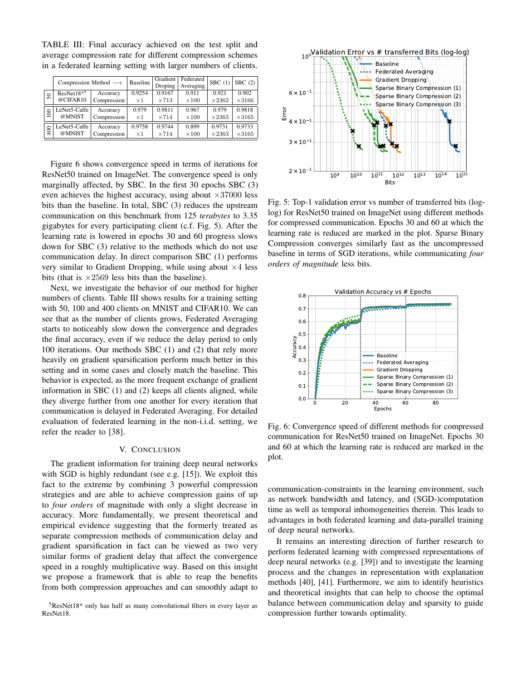TABLE III: Final accuracy achieved on the test split and average compression rate for different compression schemes in a federated learning setting with larger numbers of clients.

|                  | Compression Method $\longrightarrow$ |             | Baseline   | Gradient<br>Droping | Federated<br>Averaging | SBC(1)        | SBC(2)        |
|------------------|--------------------------------------|-------------|------------|---------------------|------------------------|---------------|---------------|
| $50\,$           | $ResNet18*5$                         | Accuracy    | 0.9254     | 0.9167              | 0.911                  | 0.921         | 0.902         |
|                  | @CIFAR10                             | Compression | $\times 1$ | $\times 713$        | $\times$ 100           | $\times 2362$ | $\times 3166$ |
| $\overline{100}$ | LeNet5-Caffe                         | Accuracy    | 0.979      | 0.9811              | 0.967                  | 0.979         | 0.9818        |
|                  | @MNIST                               | Compression | $\times 1$ | $\times 714$        | $\times$ 100           | $\times 2363$ | $\times 3165$ |
| 400              | LeNet5-Caffe                         | Accuracy    | 0.9758     | 0.9744              | 0.899                  | 0.9731        | 0.9733        |
|                  | @MNIST                               | Compression | $\times 1$ | $\times 714$        | $\times100$            | $\times 2363$ | $\times 3165$ |

Figure 6 shows convergence speed in terms of iterations for ResNet50 trained on ImageNet. The convergence speed is only marginally affected, by SBC. In the first 30 epochs SBC (3) even achieves the highest accuracy, using about  $\times 37000$  less bits than the baseline. In total, SBC (3) reduces the upstream communication on this benchmark from 125 *terabytes* to 3.35 gigabytes for every participating client (c.f. Fig. 5). After the learning rate is lowered in epochs 30 and 60 progress slows down for SBC (3) relative to the methods which do not use communication delay. In direct comparison SBC (1) performs very similar to Gradient Dropping, while using about  $\times$  4 less bits (that is  $\times 2569$  less bits than the baseline).

Next, we investigate the behavior of our method for higher numbers of clients. Table III shows results for a training setting with 50, 100 and 400 clients on MNIST and CIFAR10. We can see that as the number of clients grows, Federated Averaging starts to noticeably slow down the convergence and degrades the final accuracy, even if we reduce the delay period to only 100 iterations. Our methods SBC (1) and (2) that rely more heavily on gradient sparsification perform much better in this setting and in some cases and closely match the baseline. This behavior is expected, as the more frequent exchange of gradient information in SBC (1) and (2) keeps all clients aligned, while they diverge further from one another for every iteration that communication is delayed in Federated Averaging. For detailed evaluation of federated learning in the non-i.i.d. setting, we refer the reader to [38].

# V. CONCLUSION

The gradient information for training deep neural networks with SGD is highly redundant (see e.g. [15]). We exploit this fact to the extreme by combining 3 powerful compression strategies and are able to achieve compression gains of up to *four orders* of magnitude with only a slight decrease in accuracy. More fundamentally, we present theoretical and empirical evidence suggesting that the formerly treated as separate compression methods of communication delay and gradient sparsification in fact can be viewed as two very similar forms of gradient delay that affect the convergence speed in a roughly multiplicative way. Based on this insight we propose a framework that is able to reap the benefits from both compression approaches and can smoothly adapt to





Fig. 5: Top-1 validation error vs number of transferred bits (loglog) for ResNet50 trained on ImageNet using different methods for compressed communication. Epochs 30 and 60 at which the learning rate is reduced are marked in the plot. Sparse Binary Compression converges similarly fast as the uncompressed baseline in terms of SGD iterations, while communicating *four orders of magnitude* less bits.



Fig. 6: Convergence speed of different methods for compressed communication for ResNet50 trained on ImageNet. Epochs 30 and 60 at which the learning rate is reduced are marked in the plot.

communication-constraints in the learning environment, such as network bandwidth and latency, and (SGD-)computation time as well as temporal inhomogeneities therein. This leads to advantages in both federated learning and data-parallel training of deep neural networks.

It remains an interesting direction of further research to perform federated learning with compressed representations of deep neural networks (e.g. [39]) and to investigate the learning process and the changes in representation with explanation methods [40], [41]. Furthermore, we aim to identify heuristics and theoretical insights that can help to choose the optimal balance between communication delay and sparsity to guide compression further towards optimality.